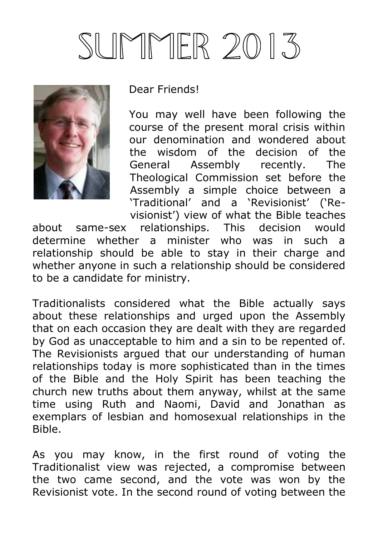# SUMMER 2013



Dear Friends!

You may well have been following the course of the present moral crisis within our denomination and wondered about the wisdom of the decision of the General Assembly recently. The Theological Commission set before the Assembly a simple choice between a 'Traditional' and a 'Revisionist' ('Revisionist') view of what the Bible teaches

about same-sex relationships. This decision would determine whether a minister who was in such a relationship should be able to stay in their charge and whether anyone in such a relationship should be considered to be a candidate for ministry.

Traditionalists considered what the Bible actually says about these relationships and urged upon the Assembly that on each occasion they are dealt with they are regarded by God as unacceptable to him and a sin to be repented of. The Revisionists argued that our understanding of human relationships today is more sophisticated than in the times of the Bible and the Holy Spirit has been teaching the church new truths about them anyway, whilst at the same time using Ruth and Naomi, David and Jonathan as exemplars of lesbian and homosexual relationships in the Bible.

As you may know, in the first round of voting the Traditionalist view was rejected, a compromise between the two came second, and the vote was won by the Revisionist vote. In the second round of voting between the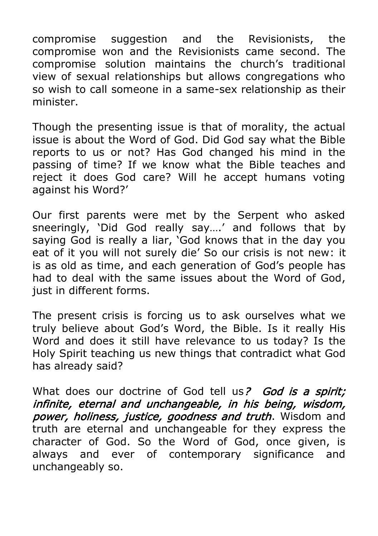compromise suggestion and the Revisionists, the compromise won and the Revisionists came second. The compromise solution maintains the church's traditional view of sexual relationships but allows congregations who so wish to call someone in a same-sex relationship as their minister.

Though the presenting issue is that of morality, the actual issue is about the Word of God. Did God say what the Bible reports to us or not? Has God changed his mind in the passing of time? If we know what the Bible teaches and reject it does God care? Will he accept humans voting against his Word?'

Our first parents were met by the Serpent who asked sneeringly, 'Did God really say….' and follows that by saying God is really a liar, 'God knows that in the day you eat of it you will not surely die' So our crisis is not new: it is as old as time, and each generation of God's people has had to deal with the same issues about the Word of God, just in different forms.

The present crisis is forcing us to ask ourselves what we truly believe about God's Word, the Bible. Is it really His Word and does it still have relevance to us today? Is the Holy Spirit teaching us new things that contradict what God has already said?

What does our doctrine of God tell us? God is a spirit; infinite, eternal and unchangeable, in his being, wisdom, power, holiness, justice, goodness and truth. Wisdom and truth are eternal and unchangeable for they express the character of God. So the Word of God, once given, is always and ever of contemporary significance and unchangeably so.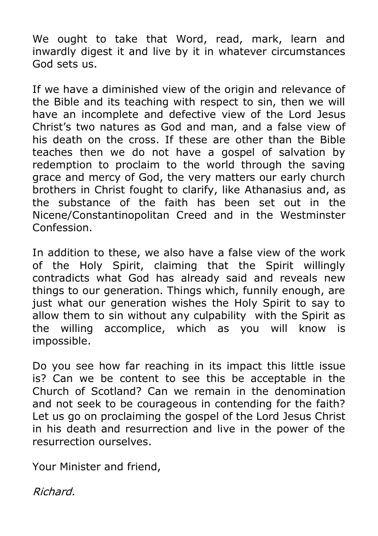We ought to take that Word, read, mark, learn and inwardly digest it and live by it in whatever circumstances God sets us.

If we have a diminished view of the origin and relevance of the Bible and its teaching with respect to sin, then we will have an incomplete and defective view of the Lord Jesus Christ's two natures as God and man, and a false view of his death on the cross. If these are other than the Bible teaches then we do not have a gospel of salvation by redemption to proclaim to the world through the saving grace and mercy of God, the very matters our early church brothers in Christ fought to clarify, like Athanasius and, as the substance of the faith has been set out in the Nicene/Constantinopolitan Creed and in the Westminster Confession.

In addition to these, we also have a false view of the work of the Holy Spirit, claiming that the Spirit willingly contradicts what God has already said and reveals new things to our generation. Things which, funnily enough, are just what our generation wishes the Holy Spirit to say to allow them to sin without any culpability with the Spirit as the willing accomplice, which as you will know is impossible.

Do you see how far reaching in its impact this little issue is? Can we be content to see this be acceptable in the Church of Scotland? Can we remain in the denomination and not seek to be courageous in contending for the faith? Let us go on proclaiming the gospel of the Lord Jesus Christ in his death and resurrection and live in the power of the resurrection ourselves.

Your Minister and friend,

Richard.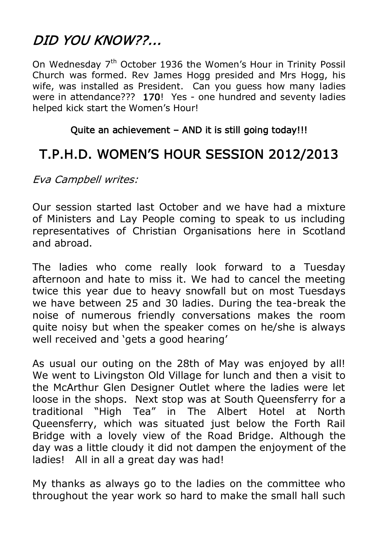# DID YOU KNOW??...

On Wednesday 7<sup>th</sup> October 1936 the Women's Hour in Trinity Possil Church was formed. Rev James Hogg presided and Mrs Hogg, his wife, was installed as President. Can you guess how many ladies were in attendance??? 170! Yes - one hundred and seventy ladies helped kick start the Women's Hour!

#### Quite an achievement – AND it is still going today!!!

# T.P.H.D. WOMEN'S HOUR SESSION 2012/2013

Eva Campbell writes:

Our session started last October and we have had a mixture of Ministers and Lay People coming to speak to us including representatives of Christian Organisations here in Scotland and abroad.

The ladies who come really look forward to a Tuesday afternoon and hate to miss it. We had to cancel the meeting twice this year due to heavy snowfall but on most Tuesdays we have between 25 and 30 ladies. During the tea-break the noise of numerous friendly conversations makes the room quite noisy but when the speaker comes on he/she is always well received and 'gets a good hearing'

As usual our outing on the 28th of May was enjoyed by all! We went to Livingston Old Village for lunch and then a visit to the McArthur Glen Designer Outlet where the ladies were let loose in the shops. Next stop was at South Queensferry for a traditional "High Tea" in The Albert Hotel at North Queensferry, which was situated just below the Forth Rail Bridge with a lovely view of the Road Bridge. Although the day was a little cloudy it did not dampen the enjoyment of the ladies! All in all a great day was had!

My thanks as always go to the ladies on the committee who throughout the year work so hard to make the small hall such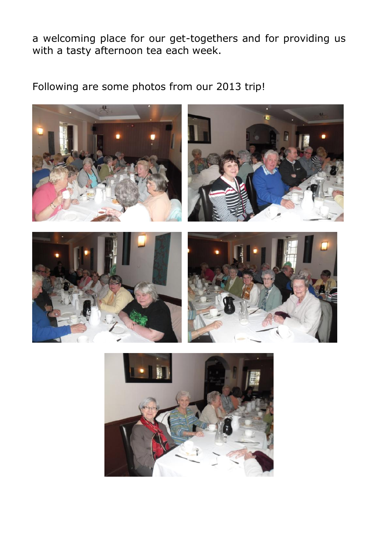a welcoming place for our get-togethers and for providing us with a tasty afternoon tea each week.

Following are some photos from our 2013 trip!

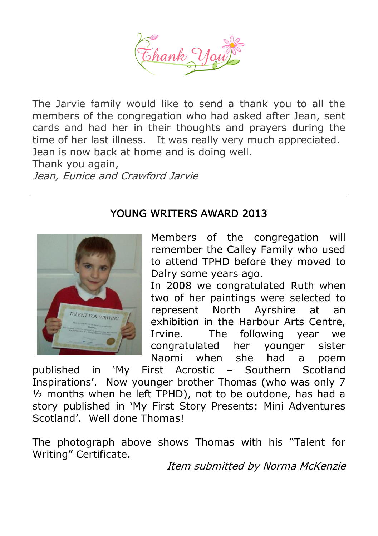

The Jarvie family would like to send a thank you to all the members of the congregation who had asked after Jean, sent cards and had her in their thoughts and prayers during the time of her last illness. It was really very much appreciated. Jean is now back at home and is doing well.

Thank you again, Jean, Eunice and Crawford Jarvie

#### YOUNG WRITERS AWARD 2013



Members of the congregation will remember the Calley Family who used to attend TPHD before they moved to Dalry some years ago.

In 2008 we congratulated Ruth when two of her paintings were selected to represent North Ayrshire at an exhibition in the Harbour Arts Centre, Irvine. The following year we congratulated her younger sister Naomi when she had a poem

published in 'My First Acrostic – Southern Scotland Inspirations'. Now younger brother Thomas (who was only 7 ½ months when he left TPHD), not to be outdone, has had a story published in 'My First Story Presents: Mini Adventures Scotland'. Well done Thomas!

The photograph above shows Thomas with his "Talent for Writing" Certificate.

Item submitted by Norma McKenzie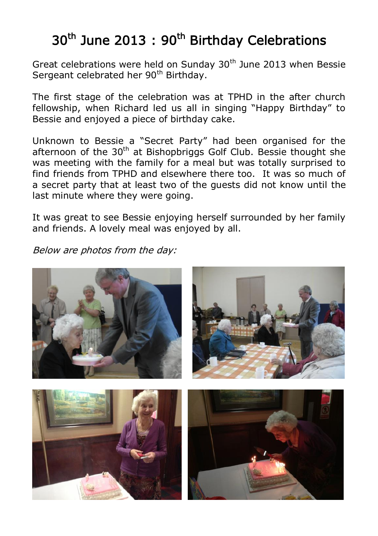# 30<sup>th</sup> June 2013: 90<sup>th</sup> Birthday Celebrations

Great celebrations were held on Sunday 30<sup>th</sup> June 2013 when Bessie Sergeant celebrated her 90<sup>th</sup> Birthday.

The first stage of the celebration was at TPHD in the after church fellowship, when Richard led us all in singing "Happy Birthday" to Bessie and enjoyed a piece of birthday cake.

Unknown to Bessie a "Secret Party" had been organised for the afternoon of the  $30<sup>th</sup>$  at Bishopbriggs Golf Club. Bessie thought she was meeting with the family for a meal but was totally surprised to find friends from TPHD and elsewhere there too. It was so much of a secret party that at least two of the guests did not know until the last minute where they were going.

It was great to see Bessie enjoying herself surrounded by her family and friends. A lovely meal was enjoyed by all.

Below are photos from the day:

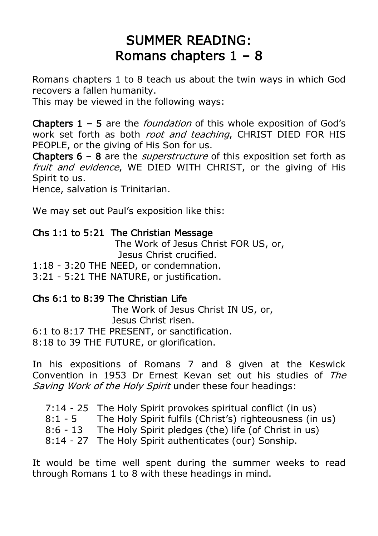## SUMMER READING: Romans chapters  $1 - 8$

Romans chapters 1 to 8 teach us about the twin ways in which God recovers a fallen humanity.

This may be viewed in the following ways:

**Chapters 1 – 5** are the *foundation* of this whole exposition of God's work set forth as both *root and teaching*, CHRIST DIED FOR HIS PEOPLE, or the giving of His Son for us.

**Chapters 6 – 8** are the *superstructure* of this exposition set forth as fruit and evidence, WE DIED WITH CHRIST, or the giving of His Spirit to us.

Hence, salvation is Trinitarian.

We may set out Paul's exposition like this:

#### Chs 1:1 to 5:21 The Christian Message

 The Work of Jesus Christ FOR US, or, Jesus Christ crucified.

1:18 - 3:20 THE NEED, or condemnation.

3:21 - 5:21 THE NATURE, or justification.

#### Chs 6:1 to 8:39 The Christian Life

 The Work of Jesus Christ IN US, or, Jesus Christ risen. 6:1 to 8:17 THE PRESENT, or sanctification.

8:18 to 39 THE FUTURE, or glorification.

In his expositions of Romans 7 and 8 given at the Keswick Convention in 1953 Dr Ernest Kevan set out his studies of The Saving Work of the Holy Spirit under these four headings:

 7:14 - 25 The Holy Spirit provokes spiritual conflict (in us) 8:1 - 5 The Holy Spirit fulfils (Christ's) righteousness (in us) 8:6 - 13 The Holy Spirit pledges (the) life (of Christ in us) 8:14 - 27 The Holy Spirit authenticates (our) Sonship.

It would be time well spent during the summer weeks to read through Romans 1 to 8 with these headings in mind.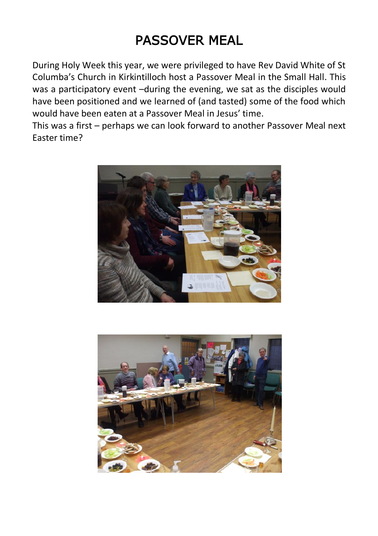# PASSOVER MEAL

During Holy Week this year, we were privileged to have Rev David White of St Columba's Church in Kirkintilloch host a Passover Meal in the Small Hall. This was a participatory event –during the evening, we sat as the disciples would have been positioned and we learned of (and tasted) some of the food which would have been eaten at a Passover Meal in Jesus' time.

This was a first – perhaps we can look forward to another Passover Meal next Easter time?



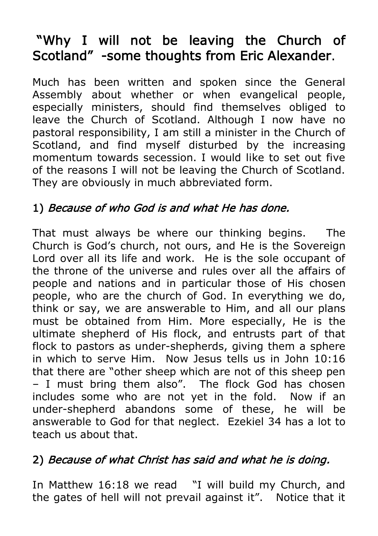# "Why I will not be leaving the Church of Scotland" -some thoughts from Eric Alexander.

Much has been written and spoken since the General Assembly about whether or when evangelical people, especially ministers, should find themselves obliged to leave the Church of Scotland. Although I now have no pastoral responsibility, I am still a minister in the Church of Scotland, and find myself disturbed by the increasing momentum towards secession. I would like to set out five of the reasons I will not be leaving the Church of Scotland. They are obviously in much abbreviated form.

## 1) Because of who God is and what He has done.

That must always be where our thinking begins. The Church is God's church, not ours, and He is the Sovereign Lord over all its life and work. He is the sole occupant of the throne of the universe and rules over all the affairs of people and nations and in particular those of His chosen people, who are the church of God. In everything we do, think or say, we are answerable to Him, and all our plans must be obtained from Him. More especially, He is the ultimate shepherd of His flock, and entrusts part of that flock to pastors as under-shepherds, giving them a sphere in which to serve Him. Now Jesus tells us in John 10:16 that there are "other sheep which are not of this sheep pen – I must bring them also". The flock God has chosen includes some who are not yet in the fold. Now if an under-shepherd abandons some of these, he will be answerable to God for that neglect. Ezekiel 34 has a lot to teach us about that.

## 2) Because of what Christ has said and what he is doing.

In Matthew 16:18 we read "I will build my Church, and the gates of hell will not prevail against it". Notice that it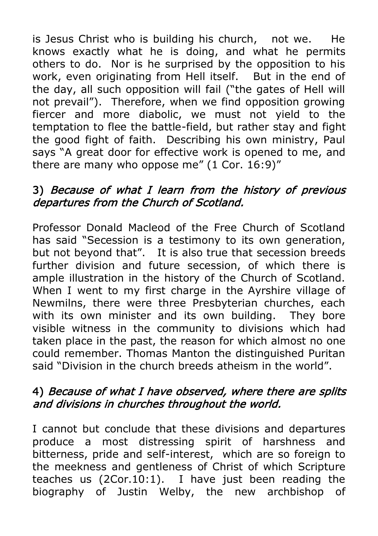is Jesus Christ who is building his church, not we. He knows exactly what he is doing, and what he permits others to do. Nor is he surprised by the opposition to his work, even originating from Hell itself. But in the end of the day, all such opposition will fail ("the gates of Hell will not prevail"). Therefore, when we find opposition growing fiercer and more diabolic, we must not yield to the temptation to flee the battle-field, but rather stay and fight the good fight of faith. Describing his own ministry, Paul says "A great door for effective work is opened to me, and there are many who oppose me" (1 Cor. 16:9)"

## 3) Because of what I learn from the history of previous departures from the Church of Scotland.

Professor Donald Macleod of the Free Church of Scotland has said "Secession is a testimony to its own generation, but not beyond that". It is also true that secession breeds further division and future secession, of which there is ample illustration in the history of the Church of Scotland. When I went to my first charge in the Ayrshire village of Newmilns, there were three Presbyterian churches, each with its own minister and its own building. They bore visible witness in the community to divisions which had taken place in the past, the reason for which almost no one could remember. Thomas Manton the distinguished Puritan said "Division in the church breeds atheism in the world".

## 4) Because of what I have observed, where there are splits and divisions in churches throughout the world.

I cannot but conclude that these divisions and departures produce a most distressing spirit of harshness and bitterness, pride and self-interest, which are so foreign to the meekness and gentleness of Christ of which Scripture teaches us (2Cor.10:1). I have just been reading the biography of Justin Welby, the new archbishop of